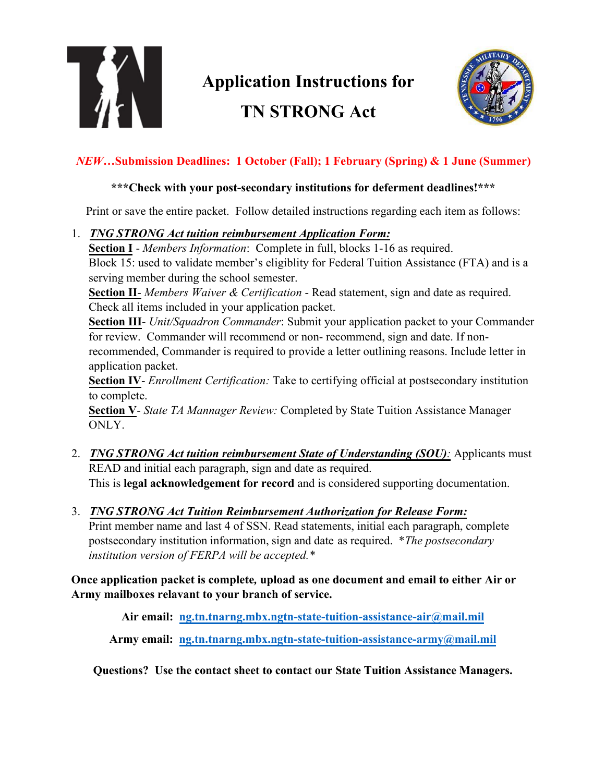

# **Application Instructions for TN STRONG Act**



### *NEW***…Submission Deadlines: 1 October (Fall); 1 February (Spring) & 1 June (Summer)**

#### **\*\*\*Check with your post-secondary institutions for deferment deadlines!\*\*\***

Print or save the entire packet. Follow detailed instructions regarding each item as follows:

#### 1. *TNG STRONG Act tuition reimbursement Application Form:*

**Section I** - *Members Information*: Complete in full, blocks 1-16 as required. Block 15: used to validate member's eligiblity for Federal Tuition Assistance (FTA) and is a serving member during the school semester.

**Section II**- *Members Waiver & Certification* - Read statement, sign and date as required. Check all items included in your application packet.

**Section III**- *Unit/Squadron Commander*: Submit your application packet to your Commander for review. Commander will recommend or non- recommend, sign and date. If non-

recommended, Commander is required to provide a letter outlining reasons. Include letter in application packet.

**Section IV**- *Enrollment Certification:* Take to certifying official at postsecondary institution to complete.

**Section V**- *State TA Mannager Review:* Completed by State Tuition Assistance Manager ONLY.

- 2. *TNG STRONG Act tuition reimbursement State of Understanding (SOU):* Applicants must READ and initial each paragraph, sign and date as required. This is **legal acknowledgement for record** and is considered supporting documentation.
- 3. *TNG STRONG Act Tuition Reimbursement Authorization for Release Form:*

Print member name and last 4 of SSN. Read statements, initial each paragraph, complete postsecondary institution information, sign and date as required. \**The postsecondary institution version of FERPA will be accepted.\**

**Once application packet is complete***,* **upload as one document and email to either Air or Army mailboxes relavant to your branch of service.** 

**Air email: [ng.tn.tnarng.mbx.ngtn-state-tuition-assistance-air@](mailto:ng.tn.tnarng.mbx.ngtn-state-tuition-assistance-air@mail.mil)mail.mil**

**Army [email: ng.tn.tnarng.mbx.ngtn-state-tuition-assistance-army@m](mailto:ng.tn.tnarng.mbx.ngtn-state-tuition-assistance-army@mail.mil)ail.mil**

**Questions? Use the contact sheet to contact our State Tuition Assistance Managers.**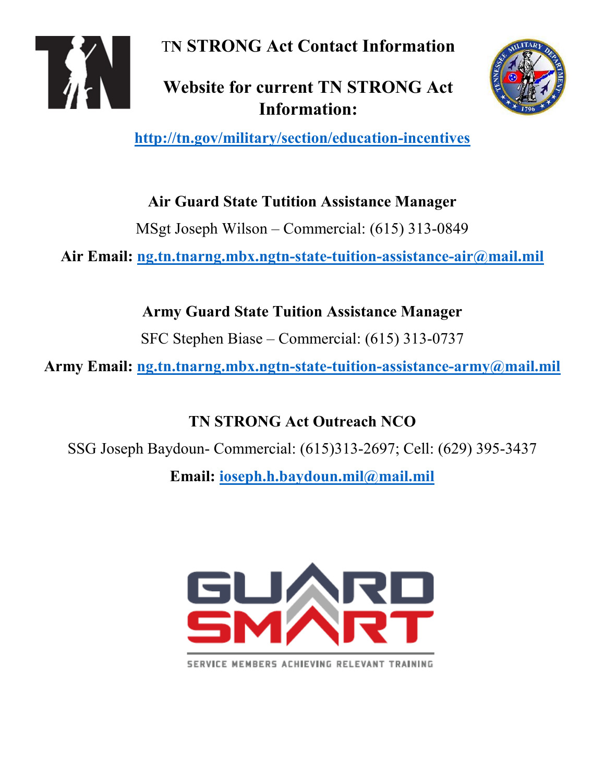T**N STRONG Act Contact Information**

**Website for current TN STRONG Act Information:**



**<http://tn.gov/military/section/education-incentives>**

**Air Guard State Tutition Assistance Manager**

MSgt Joseph Wilson – Commercial: (615) 313-0849

**Air Email: [ng.tn.tnarng.mbx.ngtn-state-tuition-assistance-air@mail.mil](mailto:ng.tn.tnarng.mbx.ngtn-state-tuition-assistance-air@mail.mil)**

**Army Guard State Tuition Assistance Manager**

SFC Stephen Biase – Commercial: (615) 313-0737

**Army Email: [ng.tn.tnarng.mbx.ngtn-state-tuition-assistance-army@mail.mil](mailto:ng.tn.tnarng.mbx.ngtn-state-tuition-assistance-army@mail.mil)**

**TN STRONG Act Outreach NCO** 

SSG Joseph Baydoun- Commercial: (615)313-2697; Cell: (629) 395-3437

**Email: [ioseph.h.baydoun.mil@mail.mil](mailto:ioseph.h.baydoun.mil@mail.mil)**



SERVICE MEMBERS ACHIEVING RELEVANT TRAINING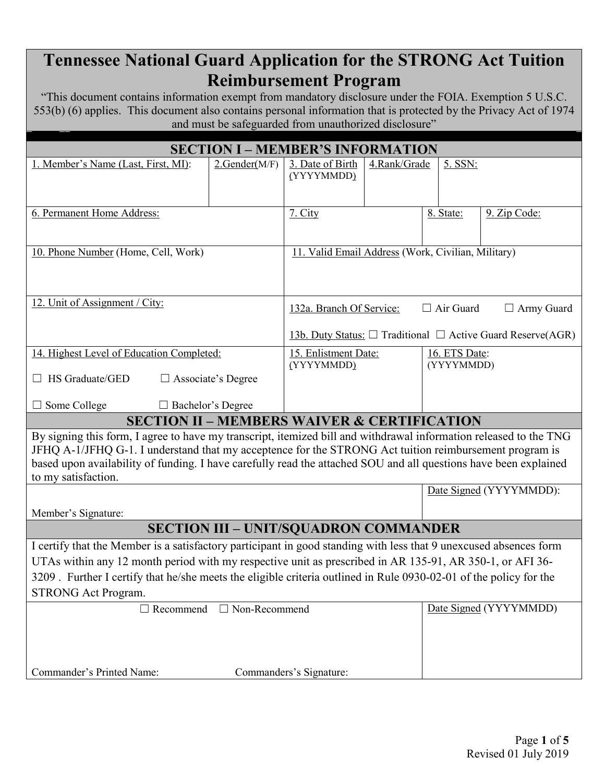### **Tennessee National Guard Application for the STRONG Act Tuition Reimbursement Program**

"This document contains information exempt from mandatory disclosure under the FOIA. Exemption 5 U.S.C. 553(b) (6) applies. This document also contains personal information that is protected by the Privacy Act of 1974 and must be safeguarded from unauthorized disclosure"

| <b>SECTION I - MEMBER'S INFORMATION</b>                                                                                                                                                                                    |                                                                       |                                                                   |               |            |                         |  |  |
|----------------------------------------------------------------------------------------------------------------------------------------------------------------------------------------------------------------------------|-----------------------------------------------------------------------|-------------------------------------------------------------------|---------------|------------|-------------------------|--|--|
| 1. Member's Name (Last, First, MI):                                                                                                                                                                                        | 2.Gender(M/F)                                                         | 3. Date of Birth                                                  | 4.Rank/Grade  | 5. SSN:    |                         |  |  |
|                                                                                                                                                                                                                            |                                                                       | (YYYYMMDD)                                                        |               |            |                         |  |  |
|                                                                                                                                                                                                                            |                                                                       |                                                                   |               |            |                         |  |  |
| 6. Permanent Home Address:                                                                                                                                                                                                 |                                                                       | 7. City                                                           |               | 8. State:  | 9. Zip Code:            |  |  |
|                                                                                                                                                                                                                            |                                                                       |                                                                   |               |            |                         |  |  |
| 10. Phone Number (Home, Cell, Work)                                                                                                                                                                                        |                                                                       | 11. Valid Email Address (Work, Civilian, Military)                |               |            |                         |  |  |
|                                                                                                                                                                                                                            |                                                                       |                                                                   |               |            |                         |  |  |
|                                                                                                                                                                                                                            |                                                                       |                                                                   |               |            |                         |  |  |
| 12. Unit of Assignment / City:                                                                                                                                                                                             |                                                                       | $\Box$ Air Guard<br>$\Box$ Army Guard<br>132a. Branch Of Service: |               |            |                         |  |  |
|                                                                                                                                                                                                                            | 13b. Duty Status: $\Box$ Traditional $\Box$ Active Guard Reserve(AGR) |                                                                   |               |            |                         |  |  |
| 14. Highest Level of Education Completed:                                                                                                                                                                                  | 15. Enlistment Date:                                                  |                                                                   | 16. ETS Date: |            |                         |  |  |
| $\Box$ HS Graduate/GED<br>$\Box$ Associate's Degree                                                                                                                                                                        |                                                                       | (YYYYMMDD)                                                        |               | (YYYYMMDD) |                         |  |  |
|                                                                                                                                                                                                                            |                                                                       |                                                                   |               |            |                         |  |  |
| $\Box$ Some College<br>$\Box$ Bachelor's Degree                                                                                                                                                                            |                                                                       |                                                                   |               |            |                         |  |  |
| <b>SECTION II - MEMBERS WAIVER &amp; CERTIFICATION</b>                                                                                                                                                                     |                                                                       |                                                                   |               |            |                         |  |  |
| By signing this form, I agree to have my transcript, itemized bill and withdrawal information released to the TNG                                                                                                          |                                                                       |                                                                   |               |            |                         |  |  |
| JFHQ A-1/JFHQ G-1. I understand that my acceptence for the STRONG Act tuition reimbursement program is<br>based upon availability of funding. I have carefully read the attached SOU and all questions have been explained |                                                                       |                                                                   |               |            |                         |  |  |
| to my satisfaction.                                                                                                                                                                                                        |                                                                       |                                                                   |               |            |                         |  |  |
|                                                                                                                                                                                                                            |                                                                       |                                                                   |               |            | Date Signed (YYYYMMDD): |  |  |
| Member's Signature:                                                                                                                                                                                                        |                                                                       |                                                                   |               |            |                         |  |  |
| <b>SECTION III - UNIT/SQUADRON COMMANDER</b>                                                                                                                                                                               |                                                                       |                                                                   |               |            |                         |  |  |
| I certify that the Member is a satisfactory participant in good standing with less that 9 unexcused absences form                                                                                                          |                                                                       |                                                                   |               |            |                         |  |  |
| UTAs within any 12 month period with my respective unit as prescribed in AR 135-91, AR 350-1, or AFI 36-                                                                                                                   |                                                                       |                                                                   |               |            |                         |  |  |
| 3209. Further I certify that he/she meets the eligible criteria outlined in Rule 0930-02-01 of the policy for the                                                                                                          |                                                                       |                                                                   |               |            |                         |  |  |
| <b>STRONG Act Program.</b><br>Date Signed (YYYYMMDD)                                                                                                                                                                       |                                                                       |                                                                   |               |            |                         |  |  |
| $\Box$ Non-Recommend<br>$\Box$ Recommend                                                                                                                                                                                   |                                                                       |                                                                   |               |            |                         |  |  |
|                                                                                                                                                                                                                            |                                                                       |                                                                   |               |            |                         |  |  |
|                                                                                                                                                                                                                            |                                                                       |                                                                   |               |            |                         |  |  |
| Commander's Printed Name:<br>Commanders's Signature:                                                                                                                                                                       |                                                                       |                                                                   |               |            |                         |  |  |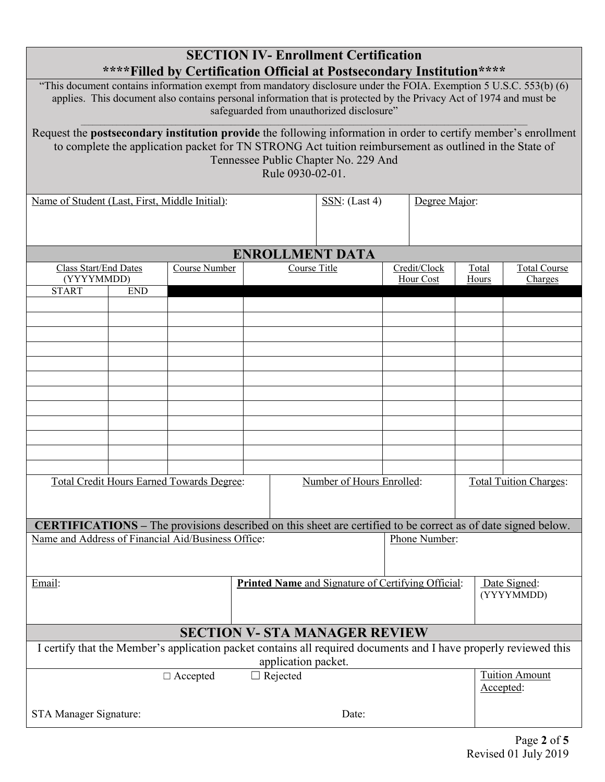| <b>SECTION IV-Enrollment Certification</b><br>**** Filled by Certification Official at Postsecondary Institution****                                                                                                                                                                  |                                                                                                        |  |                                |                        |                           |  |                               |                                |
|---------------------------------------------------------------------------------------------------------------------------------------------------------------------------------------------------------------------------------------------------------------------------------------|--------------------------------------------------------------------------------------------------------|--|--------------------------------|------------------------|---------------------------|--|-------------------------------|--------------------------------|
| "This document contains information exempt from mandatory disclosure under the FOIA. Exemption 5 U.S.C. 553(b) (6)<br>applies. This document also contains personal information that is protected by the Privacy Act of 1974 and must be<br>safeguarded from unauthorized disclosure" |                                                                                                        |  |                                |                        |                           |  |                               |                                |
| Request the <b>postsecondary institution provide</b> the following information in order to certify member's enrollment                                                                                                                                                                |                                                                                                        |  |                                |                        |                           |  |                               |                                |
|                                                                                                                                                                                                                                                                                       | to complete the application packet for TN STRONG Act tuition reimbursement as outlined in the State of |  |                                |                        |                           |  |                               |                                |
| Tennessee Public Chapter No. 229 And<br>Rule 0930-02-01.                                                                                                                                                                                                                              |                                                                                                        |  |                                |                        |                           |  |                               |                                |
| Name of Student (Last, First, Middle Initial):                                                                                                                                                                                                                                        |                                                                                                        |  | SSN: (Last 4)<br>Degree Major: |                        |                           |  |                               |                                |
|                                                                                                                                                                                                                                                                                       |                                                                                                        |  |                                |                        |                           |  |                               |                                |
|                                                                                                                                                                                                                                                                                       |                                                                                                        |  |                                | <b>ENROLLMENT DATA</b> |                           |  |                               |                                |
| Class Start/End Dates<br>(YYYYMMDD)                                                                                                                                                                                                                                                   | Course Number                                                                                          |  | Course Title                   |                        | Credit/Clock<br>Hour Cost |  | Total<br>Hours                | <b>Total Course</b><br>Charges |
| <b>START</b><br><b>END</b>                                                                                                                                                                                                                                                            |                                                                                                        |  |                                |                        |                           |  |                               |                                |
|                                                                                                                                                                                                                                                                                       |                                                                                                        |  |                                |                        |                           |  |                               |                                |
|                                                                                                                                                                                                                                                                                       |                                                                                                        |  |                                |                        |                           |  |                               |                                |
|                                                                                                                                                                                                                                                                                       |                                                                                                        |  |                                |                        |                           |  |                               |                                |
|                                                                                                                                                                                                                                                                                       |                                                                                                        |  |                                |                        |                           |  |                               |                                |
|                                                                                                                                                                                                                                                                                       |                                                                                                        |  |                                |                        |                           |  |                               |                                |
|                                                                                                                                                                                                                                                                                       |                                                                                                        |  |                                |                        |                           |  |                               |                                |
|                                                                                                                                                                                                                                                                                       |                                                                                                        |  |                                |                        |                           |  |                               |                                |
|                                                                                                                                                                                                                                                                                       |                                                                                                        |  |                                |                        |                           |  |                               |                                |
|                                                                                                                                                                                                                                                                                       |                                                                                                        |  |                                |                        |                           |  |                               |                                |
|                                                                                                                                                                                                                                                                                       |                                                                                                        |  |                                |                        |                           |  |                               |                                |
| Total Credit Hours Earned Towards Degree:                                                                                                                                                                                                                                             |                                                                                                        |  | Number of Hours Enrolled:      |                        |                           |  | <b>Total Tuition Charges:</b> |                                |
|                                                                                                                                                                                                                                                                                       |                                                                                                        |  |                                |                        |                           |  |                               |                                |
| <b>CERTIFICATIONS</b> – The provisions described on this sheet are certified to be correct as of date signed below.                                                                                                                                                                   |                                                                                                        |  |                                |                        |                           |  |                               |                                |
| Name and Address of Financial Aid/Business Office:                                                                                                                                                                                                                                    |                                                                                                        |  |                                | Phone Number:          |                           |  |                               |                                |
|                                                                                                                                                                                                                                                                                       |                                                                                                        |  |                                |                        |                           |  |                               |                                |
| <b>Printed Name</b> and Signature of Certifying Official:<br>Email:                                                                                                                                                                                                                   |                                                                                                        |  |                                |                        |                           |  | Date Signed:<br>(YYYYMMDD)    |                                |
|                                                                                                                                                                                                                                                                                       |                                                                                                        |  |                                |                        |                           |  |                               |                                |
| <b>SECTION V- STA MANAGER REVIEW</b>                                                                                                                                                                                                                                                  |                                                                                                        |  |                                |                        |                           |  |                               |                                |
| I certify that the Member's application packet contains all required documents and I have properly reviewed this<br>application packet.                                                                                                                                               |                                                                                                        |  |                                |                        |                           |  |                               |                                |
|                                                                                                                                                                                                                                                                                       | $\Box$ Accepted                                                                                        |  | $\Box$ Rejected                |                        |                           |  | Accepted:                     | <b>Tuition Amount</b>          |
| STA Manager Signature:                                                                                                                                                                                                                                                                |                                                                                                        |  |                                | Date:                  |                           |  |                               |                                |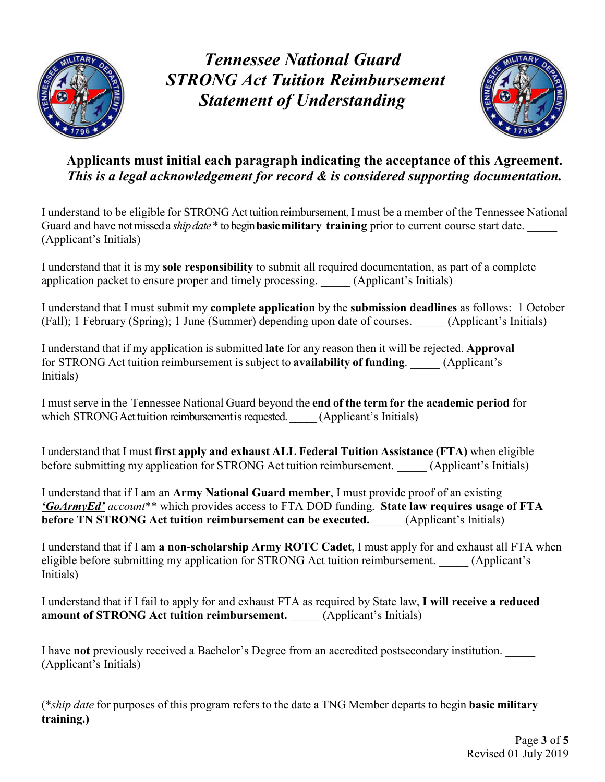

*Tennessee National Guard STRONG Act Tuition Reimbursement Statement of Understanding*



### **Applicants must initial each paragraph indicating the acceptance of this Agreement.** *This is a legal acknowledgement for record & is considered supporting documentation.*

I understand to be eligible for STRONG Act tuition reimbursement, I must be a member of the Tennessee National Guard and have not missed a *ship date* \* to begin **basic military training** prior to current course start date. (Applicant's Initials)

I understand that it is my **sole responsibility** to submit all required documentation, as part of a complete application packet to ensure proper and timely processing. (Applicant's Initials)

I understand that I must submit my **complete application** by the **submission deadlines** as follows: 1 October (Fall); 1 February (Spring); 1 June (Summer) depending upon date of courses. \_\_\_\_\_ (Applicant's Initials)

I understand that if my application is submitted **late** for any reason then it will be rejected. **Approval**  for STRONG Act tuition reimbursement is subject to **availability of funding**. \_\_\_\_\_ (Applicant's Initials)

I must serve in the Tennessee National Guard beyond the **end of the term for the academic period** for which STRONG Act tuition reimbursement is requested. (Applicant's Initials)

I understand that I must **first apply and exhaust ALL Federal Tuition Assistance (FTA)** when eligible before submitting my application for STRONG Act tuition reimbursement. (Applicant's Initials)

I understand that if I am an **Army National Guard member**, I must provide proof of an existing *'GoArmyEd' account*\*\* which provides access to FTA DOD funding. **State law requires usage of FTA before TN STRONG Act tuition reimbursement can be executed.** (Applicant's Initials)

I understand that if I am **a non-scholarship Army ROTC Cadet**, I must apply for and exhaust all FTA when eligible before submitting my application for STRONG Act tuition reimbursement. (Applicant's Initials)

I understand that if I fail to apply for and exhaust FTA as required by State law, **I will receive a reduced amount of STRONG Act tuition reimbursement.** \_\_\_\_\_ (Applicant's Initials)

I have **not** previously received a Bachelor's Degree from an accredited postsecondary institution. \_\_\_\_\_ (Applicant's Initials)

(\**ship date* for purposes of this program refers to the date a TNG Member departs to begin **basic military training.)**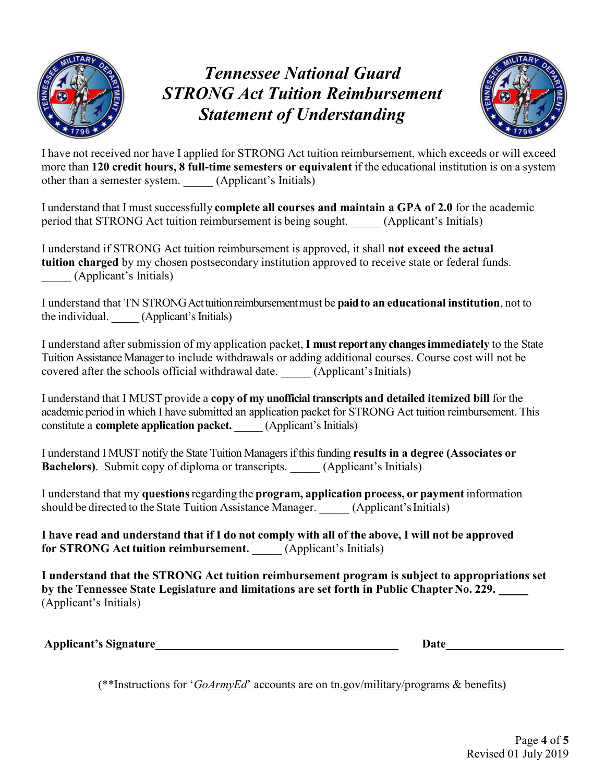

# *Tennessee National Guard STRONG Act Tuition Reimbursement Statement of Understanding*



I have not received nor have I applied for STRONG Act tuition reimbursement, which exceeds or will exceed more than **120 credit hours, 8 full-time semesters or equivalent** if the educational institution is on a system other than a semester system. \_\_\_\_\_ (Applicant's Initials)

I understand that I must successfully **complete all courses and maintain a GPA of 2.0** for the academic period that STRONG Act tuition reimbursement is being sought. (Applicant's Initials)

I understand if STRONG Act tuition reimbursement is approved, it shall **not exceed the actual tuition charged** by my chosen postsecondary institution approved to receive state or federal funds. \_\_\_\_\_ (Applicant's Initials)

I understand that TN STRONGActtuitionreimbursement must be **paidto an educational institution**, not to the individual. (Applicant's Initials)

I understand after submission of my application packet, **I must reportanychangesimmediately** to the State TuitionAssistance Manager to include withdrawals or adding additional courses. Course cost will not be covered after the schools official withdrawal date. \_\_\_\_\_ (Applicant's Initials)

I understand that I MUST provide a **copy of my unofficial transcripts and detailed itemized bill** for the academic period in which I have submitted an application packet for STRONG Act tuition reimbursement. This constitute a **complete application packet.** (Applicant's Initials)

I understand I MUST notify the State Tuition Managers if this funding **results in a degree (Associates or Bachelors**). Submit copy of diploma or transcripts. (Applicant's Initials)

I understand that my **questions**regarding the **program, application process, or payment** information should be directed to the State Tuition Assistance Manager. (Applicant's Initials)

**I have read and understand that if I do not comply with all of the above, I will not be approved for STRONG Act tuition reimbursement.** (Applicant's Initials)

**I understand that the STRONG Act tuition reimbursement program is subject to appropriations set**  by the Tennessee State Legislature and limitations are set forth in Public Chapter No. 229. \_\_\_\_\_ (Applicant's Initials)

**Applicant's** Signature **Date**  Date **Date Date Date Date** 

(\*\*Instructions for '*GoArmyEd*' accounts are on tn.gov/military/programs & benefits)